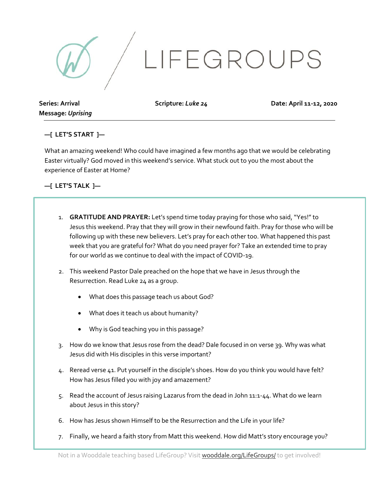

**Series: Arrival Message:** *Uprising*

**Scripture:** *Luke 24* **Date: April 11-12, 2020**

## **—[ LET'S START ]—**

What an amazing weekend! Who could have imagined a few months ago that we would be celebrating Easter virtually? God moved in this weekend's service. What stuck out to you the most about the experience of Easter at Home?

## **—[ LET'S TALK ]—**

- 1. **GRATITUDE AND PRAYER:** Let's spend time today praying for those who said, "Yes!"to Jesus this weekend. Pray that they will grow in their newfound faith. Pray for those who will be following up with these new believers. Let's pray for each other too. What happened this past week that you are grateful for? What do you need prayer for? Take an extended time to pray for our world as we continue to deal with the impact of COVID-19.
- 2. This weekend Pastor Dale preached on the hope that we have in Jesus through the Resurrection. Read Luke 24 as a group.
	- What does this passage teach us about God?
	- What does it teach us about humanity?
	- Why is God teaching you in this passage?
- 3. How do we know that Jesus rose from the dead? Dale focused in on verse 39. Why was what Jesus did with His disciples in this verse important?
- 4. Reread verse 41. Put yourself in the disciple's shoes. How do you think you would have felt? How has Jesus filled you with joy and amazement?
- 5. Read the account of Jesus raising Lazarus from the dead in John 11:1-44. What do we learn about Jesus in this story?
- 6. How has Jesus shown Himself to be the Resurrection and the Life in your life?
- 7. Finally, we heard a faith story from Matt this weekend. How did Matt's story encourage you?